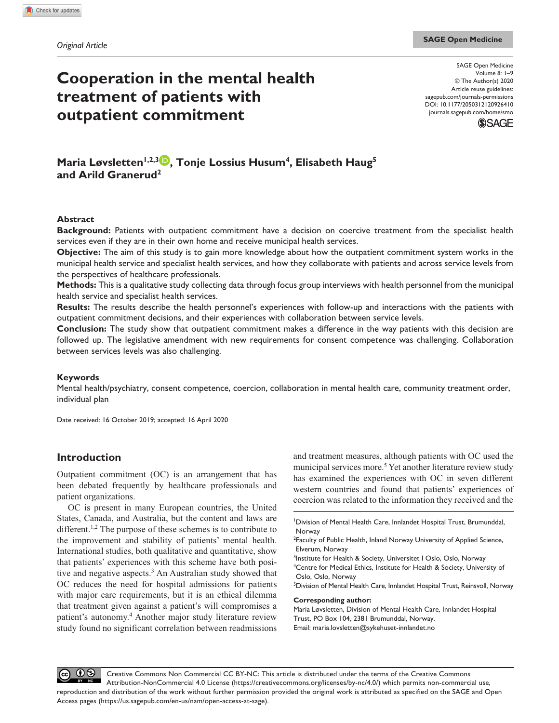# **Cooperation in the mental health treatment of patients with outpatient commitment**

DOI: 10.1177/2050312120926410 SAGE Open Medicine Volume 8: 1–9 © The Author(s) 2020 Article reuse guidelines: [sagepub.com/journals-permissions](https://uk.sagepub.com/en-gb/journals-permissions) [journals.sagepub.com/home/smo](https://journals.sagepub.com/home/smo)



**Maria Løvsletten<sup>1,2,3</sup><sup>0</sup>, Tonje Lossius Husum<sup>4</sup>, Elisabeth Haug<sup>5</sup> and Arild Granerud2**

## **Abstract**

**Background:** Patients with outpatient commitment have a decision on coercive treatment from the specialist health services even if they are in their own home and receive municipal health services.

**Objective:** The aim of this study is to gain more knowledge about how the outpatient commitment system works in the municipal health service and specialist health services, and how they collaborate with patients and across service levels from the perspectives of healthcare professionals.

**Methods:** This is a qualitative study collecting data through focus group interviews with health personnel from the municipal health service and specialist health services.

**Results:** The results describe the health personnel's experiences with follow-up and interactions with the patients with outpatient commitment decisions, and their experiences with collaboration between service levels.

**Conclusion:** The study show that outpatient commitment makes a difference in the way patients with this decision are followed up. The legislative amendment with new requirements for consent competence was challenging. Collaboration between services levels was also challenging.

#### **Keywords**

Mental health/psychiatry, consent competence, coercion, collaboration in mental health care, community treatment order, individual plan

Date received: 16 October 2019; accepted: 16 April 2020

# **Introduction**

Outpatient commitment (OC) is an arrangement that has been debated frequently by healthcare professionals and patient organizations.

OC is present in many European countries, the United States, Canada, and Australia, but the content and laws are different.<sup>1,2</sup> The purpose of these schemes is to contribute to the improvement and stability of patients' mental health. International studies, both qualitative and quantitative, show that patients' experiences with this scheme have both positive and negative aspects.<sup>3</sup> An Australian study showed that OC reduces the need for hospital admissions for patients with major care requirements, but it is an ethical dilemma that treatment given against a patient's will compromises a patient's autonomy.4 Another major study literature review study found no significant correlation between readmissions

and treatment measures, although patients with OC used the municipal services more.<sup>5</sup> Yet another literature review study has examined the experiences with OC in seven different western countries and found that patients' experiences of coercion was related to the information they received and the

5 Division of Mental Health Care, Innlandet Hospital Trust, Reinsvoll, Norway

#### **Corresponding author:**

Maria Løvsletten, Division of Mental Health Care, Innlandet Hospital Trust, PO Box 104, 2381 Brumunddal, Norway. Email: [maria.lovsletten@sykehuset-innlandet.no](mailto:maria.lovsletten@sykehuset-innlandet.no)

 $\odot$ Creative Commons Non Commercial CC BY-NC: This article is distributed under the terms of the Creative Commons  $(cc)$ Attribution-NonCommercial 4.0 License (https://creativecommons.org/licenses/by-nc/4.0/) which permits non-commercial use, reproduction and distribution of the work without further permission provided the original work is attributed as specified on the SAGE and Open Access pages (https://us.sagepub.com/en-us/nam/open-access-at-sage).

<sup>1</sup> Division of Mental Health Care, Innlandet Hospital Trust, Brumunddal, Norway

<sup>&</sup>lt;sup>2</sup> Faculty of Public Health, Inland Norway University of Applied Science, Elverum, Norway

<sup>&</sup>lt;sup>3</sup>Institute for Health & Society, Universitet I Oslo, Oslo, Norway

<sup>4</sup> Centre for Medical Ethics, Institute for Health & Society, University of Oslo, Oslo, Norway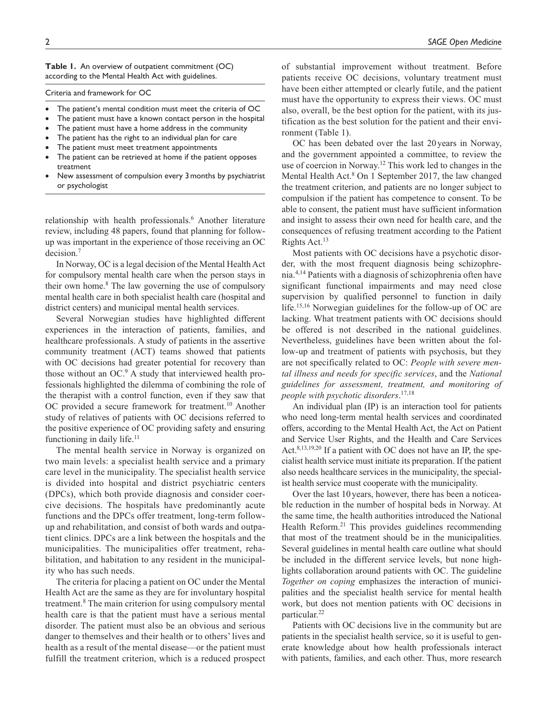**Table 1.** An overview of outpatient commitment (OC) according to the Mental Health Act with guidelines.

Criteria and framework for OC

- The patient's mental condition must meet the criteria of OC
- The patient must have a known contact person in the hospital
- The patient must have a home address in the community
- The patient has the right to an individual plan for care
- The patient must meet treatment appointments
- The patient can be retrieved at home if the patient opposes treatment
- New assessment of compulsion every 3 months by psychiatrist or psychologist

relationship with health professionals.<sup>6</sup> Another literature review, including 48 papers, found that planning for followup was important in the experience of those receiving an OC decision.7

In Norway, OC is a legal decision of the Mental Health Act for compulsory mental health care when the person stays in their own home.<sup>8</sup> The law governing the use of compulsory mental health care in both specialist health care (hospital and district centers) and municipal mental health services.

Several Norwegian studies have highlighted different experiences in the interaction of patients, families, and healthcare professionals. A study of patients in the assertive community treatment (ACT) teams showed that patients with OC decisions had greater potential for recovery than those without an OC.<sup>9</sup> A study that interviewed health professionals highlighted the dilemma of combining the role of the therapist with a control function, even if they saw that OC provided a secure framework for treatment.<sup>10</sup> Another study of relatives of patients with OC decisions referred to the positive experience of OC providing safety and ensuring functioning in daily life.<sup>11</sup>

The mental health service in Norway is organized on two main levels: a specialist health service and a primary care level in the municipality. The specialist health service is divided into hospital and district psychiatric centers (DPCs), which both provide diagnosis and consider coercive decisions. The hospitals have predominantly acute functions and the DPCs offer treatment, long-term followup and rehabilitation, and consist of both wards and outpatient clinics. DPCs are a link between the hospitals and the municipalities. The municipalities offer treatment, rehabilitation, and habitation to any resident in the municipality who has such needs.

The criteria for placing a patient on OC under the Mental Health Act are the same as they are for involuntary hospital treatment.8 The main criterion for using compulsory mental health care is that the patient must have a serious mental disorder. The patient must also be an obvious and serious danger to themselves and their health or to others' lives and health as a result of the mental disease—or the patient must fulfill the treatment criterion, which is a reduced prospect

of substantial improvement without treatment. Before patients receive OC decisions, voluntary treatment must have been either attempted or clearly futile, and the patient must have the opportunity to express their views. OC must also, overall, be the best option for the patient, with its justification as the best solution for the patient and their environment (Table 1).

OC has been debated over the last 20 years in Norway, and the government appointed a committee, to review the use of coercion in Norway.12 This work led to changes in the Mental Health Act.<sup>8</sup> On 1 September 2017, the law changed the treatment criterion, and patients are no longer subject to compulsion if the patient has competence to consent. To be able to consent, the patient must have sufficient information and insight to assess their own need for health care, and the consequences of refusing treatment according to the Patient Rights Act.13

Most patients with OC decisions have a psychotic disorder, with the most frequent diagnosis being schizophrenia.4,14 Patients with a diagnosis of schizophrenia often have significant functional impairments and may need close supervision by qualified personnel to function in daily life.15,16 Norwegian guidelines for the follow-up of OC are lacking. What treatment patients with OC decisions should be offered is not described in the national guidelines. Nevertheless, guidelines have been written about the follow-up and treatment of patients with psychosis, but they are not specifically related to OC: *People with severe mental illness and needs for specific services*, and the *National guidelines for assessment, treatment, and monitoring of people with psychotic disorders*. 17,18

An individual plan (IP) is an interaction tool for patients who need long-term mental health services and coordinated offers, according to the Mental Health Act, the Act on Patient and Service User Rights, and the Health and Care Services Act.<sup>8,13,19,20</sup> If a patient with OC does not have an IP, the specialist health service must initiate its preparation. If the patient also needs healthcare services in the municipality, the specialist health service must cooperate with the municipality.

Over the last 10 years, however, there has been a noticeable reduction in the number of hospital beds in Norway. At the same time, the health authorities introduced the National Health Reform.<sup>21</sup> This provides guidelines recommending that most of the treatment should be in the municipalities. Several guidelines in mental health care outline what should be included in the different service levels, but none highlights collaboration around patients with OC. The guideline *Together on coping* emphasizes the interaction of municipalities and the specialist health service for mental health work, but does not mention patients with OC decisions in particular.<sup>22</sup>

Patients with OC decisions live in the community but are patients in the specialist health service, so it is useful to generate knowledge about how health professionals interact with patients, families, and each other. Thus, more research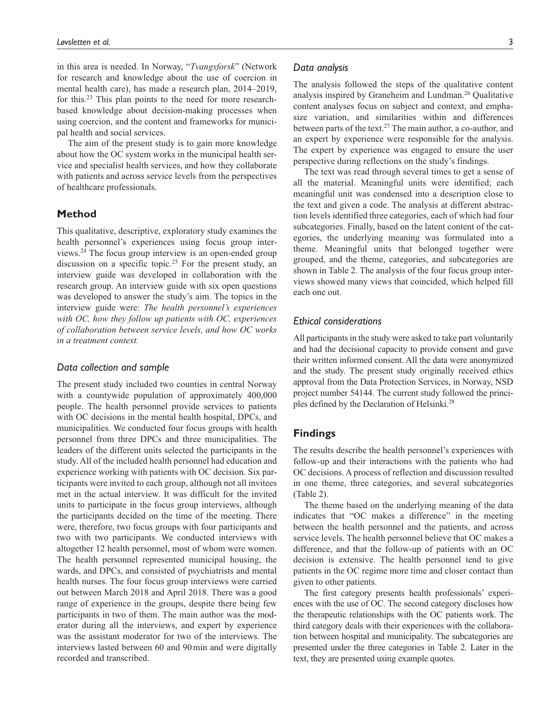in this area is needed. In Norway, "*Tvangsforsk*" (Network for research and knowledge about the use of coercion in mental health care), has made a research plan, 2014–2019, for this.23 This plan points to the need for more researchbased knowledge about decision-making processes when using coercion, and the content and frameworks for municipal health and social services.

The aim of the present study is to gain more knowledge about how the OC system works in the municipal health service and specialist health services, and how they collaborate with patients and across service levels from the perspectives of healthcare professionals.

# **Method**

This qualitative, descriptive, exploratory study examines the health personnel's experiences using focus group interviews.24 The focus group interview is an open-ended group discussion on a specific topic.<sup>25</sup> For the present study, an interview guide was developed in collaboration with the research group. An interview guide with six open questions was developed to answer the study's aim. The topics in the interview guide were: *The health personnel's experiences with OC, how they follow up patients with OC, experiences of collaboration between service levels, and how OC works in a treatment context.*

### *Data collection and sample*

The present study included two counties in central Norway with a countywide population of approximately 400,000 people. The health personnel provide services to patients with OC decisions in the mental health hospital, DPCs, and municipalities. We conducted four focus groups with health personnel from three DPCs and three municipalities. The leaders of the different units selected the participants in the study. All of the included health personnel had education and experience working with patients with OC decision. Six participants were invited to each group, although not all invitees met in the actual interview. It was difficult for the invited units to participate in the focus group interviews, although the participants decided on the time of the meeting. There were, therefore, two focus groups with four participants and two with two participants. We conducted interviews with altogether 12 health personnel, most of whom were women. The health personnel represented municipal housing, the wards, and DPCs, and consisted of psychiatrists and mental health nurses. The four focus group interviews were carried out between March 2018 and April 2018. There was a good range of experience in the groups, despite there being few participants in two of them. The main author was the moderator during all the interviews, and expert by experience was the assistant moderator for two of the interviews. The interviews lasted between 60 and 90min and were digitally recorded and transcribed.

The analysis followed the steps of the qualitative content analysis inspired by Graneheim and Lundman.26 Qualitative content analyses focus on subject and context, and emphasize variation, and similarities within and differences between parts of the text.<sup>27</sup> The main author, a co-author, and an expert by experience were responsible for the analysis. The expert by experience was engaged to ensure the user perspective during reflections on the study's findings.

The text was read through several times to get a sense of all the material. Meaningful units were identified; each meaningful unit was condensed into a description close to the text and given a code. The analysis at different abstraction levels identified three categories, each of which had four subcategories. Finally, based on the latent content of the categories, the underlying meaning was formulated into a theme. Meaningful units that belonged together were grouped, and the theme, categories, and subcategories are shown in Table 2. The analysis of the four focus group interviews showed many views that coincided, which helped fill each one out.

# *Ethical considerations*

All participants in the study were asked to take part voluntarily and had the decisional capacity to provide consent and gave their written informed consent. All the data were anonymized and the study. The present study originally received ethics approval from the Data Protection Services, in Norway, NSD project number 54144. The current study followed the principles defined by the Declaration of Helsinki.28

# **Findings**

The results describe the health personnel's experiences with follow-up and their interactions with the patients who had OC decisions. A process of reflection and discussion resulted in one theme, three categories, and several subcategories (Table 2).

The theme based on the underlying meaning of the data indicates that "OC makes a difference" in the meeting between the health personnel and the patients, and across service levels. The health personnel believe that OC makes a difference, and that the follow-up of patients with an OC decision is extensive. The health personnel tend to give patients in the OC regime more time and closer contact than given to other patients.

The first category presents health professionals' experiences with the use of OC. The second category discloses how the therapeutic relationships with the OC patients work. The third category deals with their experiences with the collaboration between hospital and municipality. The subcategories are presented under the three categories in Table 2. Later in the text, they are presented using example quotes.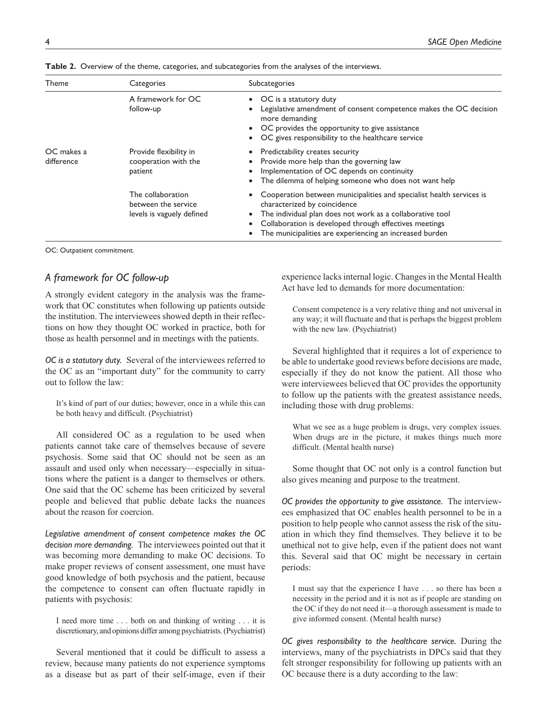| Theme                    | Categories                                                            | Subcategories                                                                                                                                                                                                                                                                                                 |
|--------------------------|-----------------------------------------------------------------------|---------------------------------------------------------------------------------------------------------------------------------------------------------------------------------------------------------------------------------------------------------------------------------------------------------------|
|                          | A framework for OC<br>follow-up                                       | • OC is a statutory duty<br>Legislative amendment of consent competence makes the OC decision<br>more demanding<br>• OC provides the opportunity to give assistance<br>OC gives responsibility to the healthcare service<br>$\bullet$                                                                         |
| OC makes a<br>difference | Provide flexibility in<br>cooperation with the<br>patient             | Predictability creates security<br>٠<br>Provide more help than the governing law<br>Implementation of OC depends on continuity<br>The dilemma of helping someone who does not want help                                                                                                                       |
|                          | The collaboration<br>between the service<br>levels is vaguely defined | Cooperation between municipalities and specialist health services is<br>٠<br>characterized by coincidence<br>The individual plan does not work as a collaborative tool<br>٠<br>Collaboration is developed through effectives meetings<br>$\bullet$<br>The municipalities are experiencing an increased burden |

**Table 2.** Overview of the theme, categories, and subcategories from the analyses of the interviews.

OC: Outpatient commitment.

# *A framework for OC follow-up*

A strongly evident category in the analysis was the framework that OC constitutes when following up patients outside the institution. The interviewees showed depth in their reflections on how they thought OC worked in practice, both for those as health personnel and in meetings with the patients.

*OC is a statutory duty.* Several of the interviewees referred to the OC as an "important duty" for the community to carry out to follow the law:

It's kind of part of our duties; however, once in a while this can be both heavy and difficult. (Psychiatrist)

All considered OC as a regulation to be used when patients cannot take care of themselves because of severe psychosis. Some said that OC should not be seen as an assault and used only when necessary—especially in situations where the patient is a danger to themselves or others. One said that the OC scheme has been criticized by several people and believed that public debate lacks the nuances about the reason for coercion.

*Legislative amendment of consent competence makes the OC decision more demanding.* The interviewees pointed out that it was becoming more demanding to make OC decisions. To make proper reviews of consent assessment, one must have good knowledge of both psychosis and the patient, because the competence to consent can often fluctuate rapidly in patients with psychosis:

I need more time . . . both on and thinking of writing . . . it is discretionary, and opinions differ among psychiatrists. (Psychiatrist)

Several mentioned that it could be difficult to assess a review, because many patients do not experience symptoms as a disease but as part of their self-image, even if their experience lacks internal logic. Changes in the Mental Health Act have led to demands for more documentation:

Consent competence is a very relative thing and not universal in any way; it will fluctuate and that is perhaps the biggest problem with the new law. (Psychiatrist)

Several highlighted that it requires a lot of experience to be able to undertake good reviews before decisions are made, especially if they do not know the patient. All those who were interviewees believed that OC provides the opportunity to follow up the patients with the greatest assistance needs, including those with drug problems:

What we see as a huge problem is drugs, very complex issues. When drugs are in the picture, it makes things much more difficult. (Mental health nurse)

Some thought that OC not only is a control function but also gives meaning and purpose to the treatment.

*OC provides the opportunity to give assistance.* The interviewees emphasized that OC enables health personnel to be in a position to help people who cannot assess the risk of the situation in which they find themselves. They believe it to be unethical not to give help, even if the patient does not want this. Several said that OC might be necessary in certain periods:

I must say that the experience I have . . . so there has been a necessity in the period and it is not as if people are standing on the OC if they do not need it—a thorough assessment is made to give informed consent. (Mental health nurse)

*OC gives responsibility to the healthcare service.* During the interviews, many of the psychiatrists in DPCs said that they felt stronger responsibility for following up patients with an OC because there is a duty according to the law: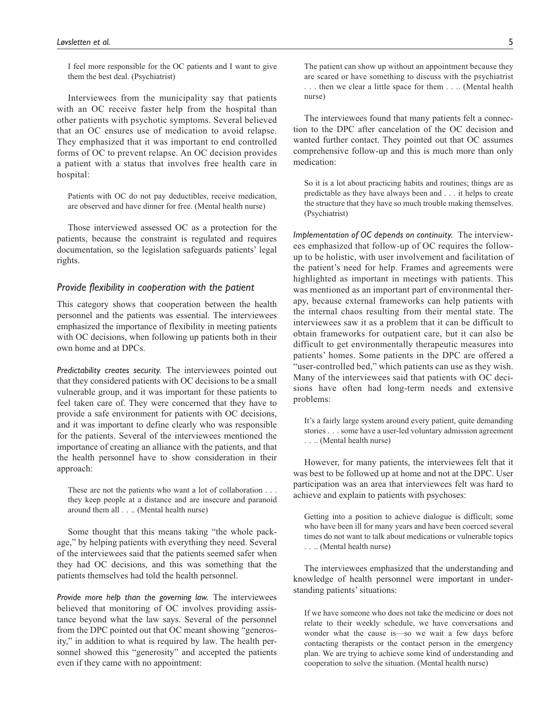I feel more responsible for the OC patients and I want to give them the best deal. (Psychiatrist)

Interviewees from the municipality say that patients with an OC receive faster help from the hospital than other patients with psychotic symptoms. Several believed that an OC ensures use of medication to avoid relapse. They emphasized that it was important to end controlled forms of OC to prevent relapse. An OC decision provides a patient with a status that involves free health care in hospital:

Patients with OC do not pay deductibles, receive medication, are observed and have dinner for free. (Mental health nurse)

Those interviewed assessed OC as a protection for the patients, because the constraint is regulated and requires documentation, so the legislation safeguards patients' legal rights.

### *Provide flexibility in cooperation with the patient*

This category shows that cooperation between the health personnel and the patients was essential. The interviewees emphasized the importance of flexibility in meeting patients with OC decisions, when following up patients both in their own home and at DPCs.

*Predictability creates security.* The interviewees pointed out that they considered patients with OC decisions to be a small vulnerable group, and it was important for these patients to feel taken care of. They were concerned that they have to provide a safe environment for patients with OC decisions, and it was important to define clearly who was responsible for the patients. Several of the interviewees mentioned the importance of creating an alliance with the patients, and that the health personnel have to show consideration in their approach:

These are not the patients who want a lot of collaboration . . . they keep people at a distance and are insecure and paranoid around them all . . .. (Mental health nurse)

Some thought that this means taking "the whole package," by helping patients with everything they need. Several of the interviewees said that the patients seemed safer when they had OC decisions, and this was something that the patients themselves had told the health personnel.

*Provide more help than the governing law.* The interviewees believed that monitoring of OC involves providing assistance beyond what the law says. Several of the personnel from the DPC pointed out that OC meant showing "generosity," in addition to what is required by law. The health personnel showed this "generosity" and accepted the patients even if they came with no appointment:

The patient can show up without an appointment because they are scared or have something to discuss with the psychiatrist . . . then we clear a little space for them . . .. (Mental health nurse)

The interviewees found that many patients felt a connection to the DPC after cancelation of the OC decision and wanted further contact. They pointed out that OC assumes comprehensive follow-up and this is much more than only medication:

So it is a lot about practicing habits and routines; things are as predictable as they have always been and . . . it helps to create the structure that they have so much trouble making themselves. (Psychiatrist)

*Implementation of OC depends on continuity.* The interviewees emphasized that follow-up of OC requires the followup to be holistic, with user involvement and facilitation of the patient's need for help. Frames and agreements were highlighted as important in meetings with patients. This was mentioned as an important part of environmental therapy, because external frameworks can help patients with the internal chaos resulting from their mental state. The interviewees saw it as a problem that it can be difficult to obtain frameworks for outpatient care, but it can also be difficult to get environmentally therapeutic measures into patients' homes. Some patients in the DPC are offered a "user-controlled bed," which patients can use as they wish. Many of the interviewees said that patients with OC decisions have often had long-term needs and extensive problems:

It's a fairly large system around every patient, quite demanding stories . . . some have a user-led voluntary admission agreement . . .. (Mental health nurse)

However, for many patients, the interviewees felt that it was best to be followed up at home and not at the DPC. User participation was an area that interviewees felt was hard to achieve and explain to patients with psychoses:

Getting into a position to achieve dialogue is difficult; some who have been ill for many years and have been coerced several times do not want to talk about medications or vulnerable topics . . .. (Mental health nurse)

The interviewees emphasized that the understanding and knowledge of health personnel were important in understanding patients' situations:

If we have someone who does not take the medicine or does not relate to their weekly schedule, we have conversations and wonder what the cause is—so we wait a few days before contacting therapists or the contact person in the emergency plan. We are trying to achieve some kind of understanding and cooperation to solve the situation. (Mental health nurse)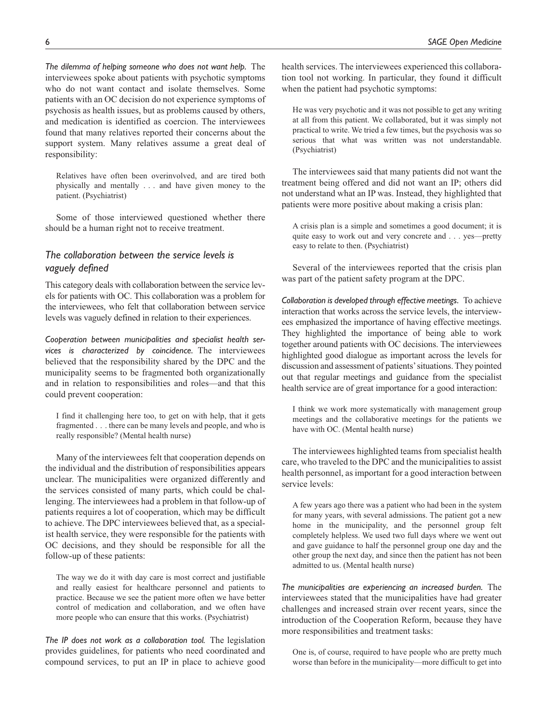*The dilemma of helping someone who does not want help.* The interviewees spoke about patients with psychotic symptoms who do not want contact and isolate themselves. Some patients with an OC decision do not experience symptoms of psychosis as health issues, but as problems caused by others, and medication is identified as coercion. The interviewees found that many relatives reported their concerns about the support system. Many relatives assume a great deal of responsibility:

Relatives have often been overinvolved, and are tired both physically and mentally . . . and have given money to the patient. (Psychiatrist)

Some of those interviewed questioned whether there should be a human right not to receive treatment.

# *The collaboration between the service levels is vaguely defined*

This category deals with collaboration between the service levels for patients with OC. This collaboration was a problem for the interviewees, who felt that collaboration between service levels was vaguely defined in relation to their experiences.

*Cooperation between municipalities and specialist health services is characterized by coincidence.* The interviewees believed that the responsibility shared by the DPC and the municipality seems to be fragmented both organizationally and in relation to responsibilities and roles—and that this could prevent cooperation:

I find it challenging here too, to get on with help, that it gets fragmented . . . there can be many levels and people, and who is really responsible? (Mental health nurse)

Many of the interviewees felt that cooperation depends on the individual and the distribution of responsibilities appears unclear. The municipalities were organized differently and the services consisted of many parts, which could be challenging. The interviewees had a problem in that follow-up of patients requires a lot of cooperation, which may be difficult to achieve. The DPC interviewees believed that, as a specialist health service, they were responsible for the patients with OC decisions, and they should be responsible for all the follow-up of these patients:

The way we do it with day care is most correct and justifiable and really easiest for healthcare personnel and patients to practice. Because we see the patient more often we have better control of medication and collaboration, and we often have more people who can ensure that this works. (Psychiatrist)

*The IP does not work as a collaboration tool.* The legislation provides guidelines, for patients who need coordinated and compound services, to put an IP in place to achieve good health services. The interviewees experienced this collaboration tool not working. In particular, they found it difficult when the patient had psychotic symptoms:

He was very psychotic and it was not possible to get any writing at all from this patient. We collaborated, but it was simply not practical to write. We tried a few times, but the psychosis was so serious that what was written was not understandable. (Psychiatrist)

The interviewees said that many patients did not want the treatment being offered and did not want an IP; others did not understand what an IP was. Instead, they highlighted that patients were more positive about making a crisis plan:

A crisis plan is a simple and sometimes a good document; it is quite easy to work out and very concrete and . . . yes—pretty easy to relate to then. (Psychiatrist)

Several of the interviewees reported that the crisis plan was part of the patient safety program at the DPC.

*Collaboration is developed through effective meetings.* To achieve interaction that works across the service levels, the interviewees emphasized the importance of having effective meetings. They highlighted the importance of being able to work together around patients with OC decisions. The interviewees highlighted good dialogue as important across the levels for discussion and assessment of patients' situations. They pointed out that regular meetings and guidance from the specialist health service are of great importance for a good interaction:

I think we work more systematically with management group meetings and the collaborative meetings for the patients we have with OC. (Mental health nurse)

The interviewees highlighted teams from specialist health care, who traveled to the DPC and the municipalities to assist health personnel, as important for a good interaction between service levels:

A few years ago there was a patient who had been in the system for many years, with several admissions. The patient got a new home in the municipality, and the personnel group felt completely helpless. We used two full days where we went out and gave guidance to half the personnel group one day and the other group the next day, and since then the patient has not been admitted to us. (Mental health nurse)

*The municipalities are experiencing an increased burden.* The interviewees stated that the municipalities have had greater challenges and increased strain over recent years, since the introduction of the Cooperation Reform, because they have more responsibilities and treatment tasks:

One is, of course, required to have people who are pretty much worse than before in the municipality—more difficult to get into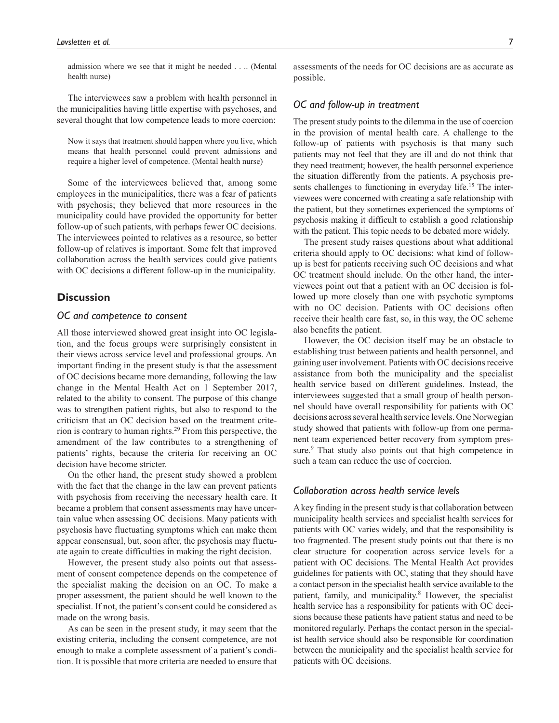admission where we see that it might be needed . . .. (Mental health nurse)

The interviewees saw a problem with health personnel in the municipalities having little expertise with psychoses, and several thought that low competence leads to more coercion:

Now it says that treatment should happen where you live, which means that health personnel could prevent admissions and require a higher level of competence. (Mental health nurse)

Some of the interviewees believed that, among some employees in the municipalities, there was a fear of patients with psychosis; they believed that more resources in the municipality could have provided the opportunity for better follow-up of such patients, with perhaps fewer OC decisions. The interviewees pointed to relatives as a resource, so better follow-up of relatives is important. Some felt that improved collaboration across the health services could give patients with OC decisions a different follow-up in the municipality.

## **Discussion**

# *OC and competence to consent*

All those interviewed showed great insight into OC legislation, and the focus groups were surprisingly consistent in their views across service level and professional groups. An important finding in the present study is that the assessment of OC decisions became more demanding, following the law change in the Mental Health Act on 1 September 2017, related to the ability to consent. The purpose of this change was to strengthen patient rights, but also to respond to the criticism that an OC decision based on the treatment criterion is contrary to human rights.29 From this perspective, the amendment of the law contributes to a strengthening of patients' rights, because the criteria for receiving an OC decision have become stricter.

On the other hand, the present study showed a problem with the fact that the change in the law can prevent patients with psychosis from receiving the necessary health care. It became a problem that consent assessments may have uncertain value when assessing OC decisions. Many patients with psychosis have fluctuating symptoms which can make them appear consensual, but, soon after, the psychosis may fluctuate again to create difficulties in making the right decision.

However, the present study also points out that assessment of consent competence depends on the competence of the specialist making the decision on an OC. To make a proper assessment, the patient should be well known to the specialist. If not, the patient's consent could be considered as made on the wrong basis.

As can be seen in the present study, it may seem that the existing criteria, including the consent competence, are not enough to make a complete assessment of a patient's condition. It is possible that more criteria are needed to ensure that

assessments of the needs for OC decisions are as accurate as possible.

## *OC and follow-up in treatment*

The present study points to the dilemma in the use of coercion in the provision of mental health care. A challenge to the follow-up of patients with psychosis is that many such patients may not feel that they are ill and do not think that they need treatment; however, the health personnel experience the situation differently from the patients. A psychosis presents challenges to functioning in everyday life.<sup>15</sup> The interviewees were concerned with creating a safe relationship with the patient, but they sometimes experienced the symptoms of psychosis making it difficult to establish a good relationship with the patient. This topic needs to be debated more widely.

The present study raises questions about what additional criteria should apply to OC decisions: what kind of followup is best for patients receiving such OC decisions and what OC treatment should include. On the other hand, the interviewees point out that a patient with an OC decision is followed up more closely than one with psychotic symptoms with no OC decision. Patients with OC decisions often receive their health care fast, so, in this way, the OC scheme also benefits the patient.

However, the OC decision itself may be an obstacle to establishing trust between patients and health personnel, and gaining user involvement. Patients with OC decisions receive assistance from both the municipality and the specialist health service based on different guidelines. Instead, the interviewees suggested that a small group of health personnel should have overall responsibility for patients with OC decisions across several health service levels. One Norwegian study showed that patients with follow-up from one permanent team experienced better recovery from symptom pressure.<sup>9</sup> That study also points out that high competence in such a team can reduce the use of coercion.

# *Collaboration across health service levels*

A key finding in the present study is that collaboration between municipality health services and specialist health services for patients with OC varies widely, and that the responsibility is too fragmented. The present study points out that there is no clear structure for cooperation across service levels for a patient with OC decisions. The Mental Health Act provides guidelines for patients with OC, stating that they should have a contact person in the specialist health service available to the patient, family, and municipality.<sup>8</sup> However, the specialist health service has a responsibility for patients with OC decisions because these patients have patient status and need to be monitored regularly. Perhaps the contact person in the specialist health service should also be responsible for coordination between the municipality and the specialist health service for patients with OC decisions.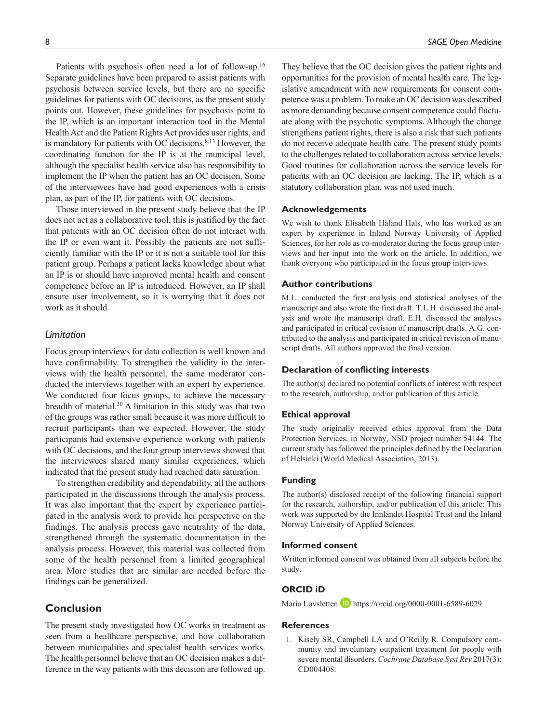Patients with psychosis often need a lot of follow-up.<sup>16</sup> Separate guidelines have been prepared to assist patients with psychosis between service levels, but there are no specific guidelines for patients with OC decisions, as the present study points out. However, these guidelines for psychosis point to the IP, which is an important interaction tool in the Mental Health Act and the Patient Rights Act provides user rights, and

is mandatory for patients with OC decisions.<sup>8,13</sup> However, the coordinating function for the IP is at the municipal level, although the specialist health service also has responsibility to implement the IP when the patient has an OC decision. Some of the interviewees have had good experiences with a crisis plan, as part of the IP, for patients with OC decisions.

Those interviewed in the present study believe that the IP does not act as a collaborative tool; this is justified by the fact that patients with an OC decision often do not interact with the IP or even want it. Possibly the patients are not sufficiently familiar with the IP or it is not a suitable tool for this patient group. Perhaps a patient lacks knowledge about what an IP is or should have improved mental health and consent competence before an IP is introduced. However, an IP shall ensure user involvement, so it is worrying that it does not work as it should.

## *Limitation*

Focus group interviews for data collection is well known and have confirmability. To strengthen the validity in the interviews with the health personnel, the same moderator conducted the interviews together with an expert by experience. We conducted four focus groups, to achieve the necessary breadth of material.<sup>30</sup> A limitation in this study was that two of the groups was rather small because it was more difficult to recruit participants than we expected. However, the study participants had extensive experience working with patients with OC decisions, and the four group interviews showed that the interviewees shared many similar experiences, which indicated that the present study had reached data saturation.

To strengthen credibility and dependability, all the authors participated in the discussions through the analysis process. It was also important that the expert by experience participated in the analysis work to provide her perspective on the findings. The analysis process gave neutrality of the data, strengthened through the systematic documentation in the analysis process. However, this material was collected from some of the health personnel from a limited geographical area. More studies that are similar are needed before the findings can be generalized.

# **Conclusion**

The present study investigated how OC works in treatment as seen from a healthcare perspective, and how collaboration between municipalities and specialist health services works. The health personnel believe that an OC decision makes a difference in the way patients with this decision are followed up.

8 *SAGE Open Medicine*

They believe that the OC decision gives the patient rights and opportunities for the provision of mental health care. The legislative amendment with new requirements for consent competence was a problem. To make an OC decision was described as more demanding because consent competence could fluctuate along with the psychotic symptoms. Although the change strengthens patient rights, there is also a risk that such patients do not receive adequate health care. The present study points to the challenges related to collaboration across service levels. Good routines for collaboration across the service levels for patients with an OC decision are lacking. The IP, which is a statutory collaboration plan, was not used much.

## **Acknowledgements**

We wish to thank Elisabeth Håland Hals, who has worked as an expert by experience in Inland Norway University of Applied Sciences, for her role as co-moderator during the focus group interviews and her input into the work on the article. In addition, we thank everyone who participated in the focus group interviews.

#### **Author contributions**

M.L. conducted the first analysis and statistical analyses of the manuscript and also wrote the first draft. T.L.H. discussed the analysis and wrote the manuscript draft. E.H. discussed the analyses and participated in critical revision of manuscript drafts. A.G. contributed to the analysis and participated in critical revision of manuscript drafts. All authors approved the final version.

#### **Declaration of conflicting interests**

The author(s) declared no potential conflicts of interest with respect to the research, authorship, and/or publication of this article.

#### **Ethical approval**

The study originally received ethics approval from the Data Protection Services, in Norway, NSD project number 54144. The current study has followed the principles defined by the Declaration of Helsinki (World Medical Association, 2013).

### **Funding**

The author(s) disclosed receipt of the following financial support for the research, authorship, and/or publication of this article: This work was supported by the Innlandet Hospital Trust and the Inland Norway University of Applied Sciences.

#### **Informed consent**

Written informed consent was obtained from all subjects before the study.

# **ORCID iD**

Maria Løvsletten D <https://orcid.org/0000-0001-6589-6029>

#### **References**

1. Kisely SR, Campbell LA and O'Reilly R. Compulsory community and involuntary outpatient treatment for people with severe mental disorders. *Cochrane Database Syst Rev* 2017(3): CD004408.